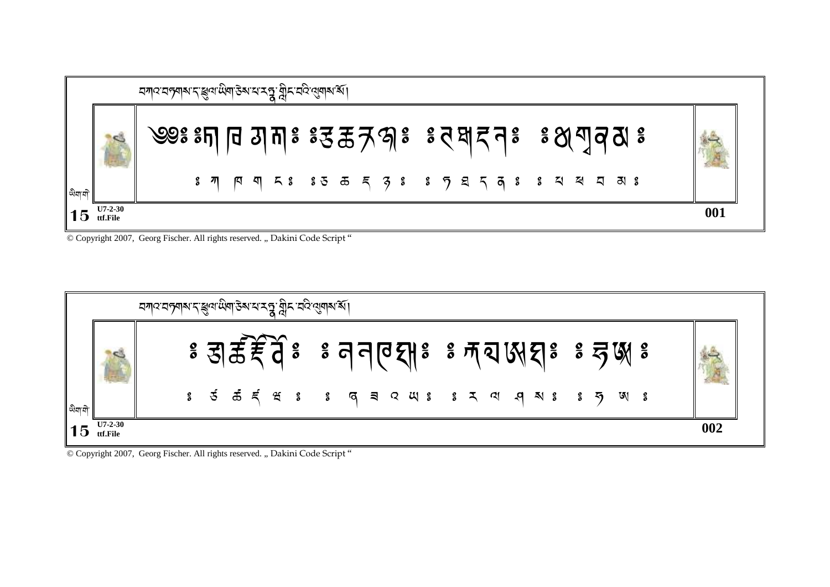|        |                            | <i>মশ্</i> যেপৃশৰ্ম দ'ঙ্জুৰ উষা উৰ্ময় <b>মন্ত্ৰ</b> , মুন ঘট ৰো়নৰ ৰ্ষ |  |  |  |                                                                                                                                                                                                                                                                                                                               |  |     |
|--------|----------------------------|-------------------------------------------------------------------------|--|--|--|-------------------------------------------------------------------------------------------------------------------------------------------------------------------------------------------------------------------------------------------------------------------------------------------------------------------------------|--|-----|
|        |                            |                                                                         |  |  |  | ৩৩ঃ ঃদা নি সানাঃ ঃহু ক্রন্স গ্লন্থ ই ব্রষ্ম বেঃ ঃ গুণ্ম ব্রম্ভ ঃ                                                                                                                                                                                                                                                              |  |     |
| অবা বা |                            |                                                                         |  |  |  | $\mathbb{R}$ $\pi$ $\pi$ $\pi$ $\pi$ $\mathbb{R}$ $\mathbb{R}$ $\mathbb{R}$ $\mathbb{R}$ $\mathbb{R}$ $\mathbb{R}$ $\mathbb{R}$ $\mathbb{R}$ $\mathbb{R}$ $\mathbb{R}$ $\mathbb{R}$ $\mathbb{R}$ $\mathbb{R}$ $\mathbb{R}$ $\mathbb{R}$ $\mathbb{R}$ $\mathbb{R}$ $\mathbb{R}$ $\mathbb{R}$ $\mathbb{R}$ $\mathbb{R}$ $\math$ |  |     |
|        | $U7-2-30$<br>$15$ ttf.File |                                                                         |  |  |  |                                                                                                                                                                                                                                                                                                                               |  | 001 |

© Copyright 2007, Georg Fischer. All rights reserved. "Dakini Code Script"



© Copyright 2007, Georg Fischer. All rights reserved. "Dakini Code Script"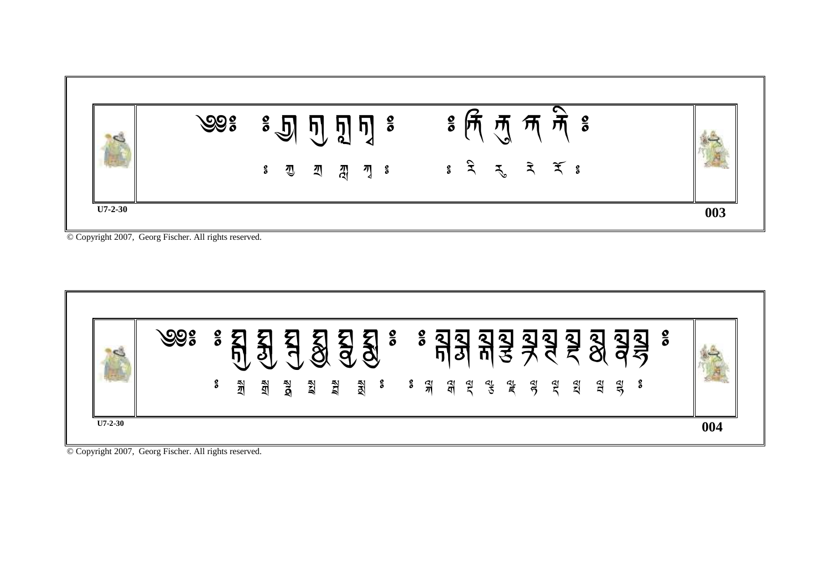

| <b>IC</b> | ೨೨೫ | $\frac{\mathbf{o}}{\mathbf{o}}$<br>ő | গ্রী | हा<br>╰┻ | $\overline{\mathbf{d}}$ | <u>g</u> | <b>EAG</b> | <b>ARD</b> | $\mathbb{F}_q$ |  | $\frac{2}{3}$ $\frac{2}{3}$ $\frac{1}{3}$ $\frac{1}{3}$ | त्ते | $\mathfrak{F}$ |  | 33333 | <b>AM</b> | $\frac{\mathbf{o}}{\mathbf{o}}$ |     |  |
|-----------|-----|--------------------------------------|------|----------|-------------------------|----------|------------|------------|----------------|--|---------------------------------------------------------|------|----------------|--|-------|-----------|---------------------------------|-----|--|
| $U7-2-30$ |     |                                      |      |          |                         |          |            |            |                |  |                                                         |      |                |  |       |           |                                 | 004 |  |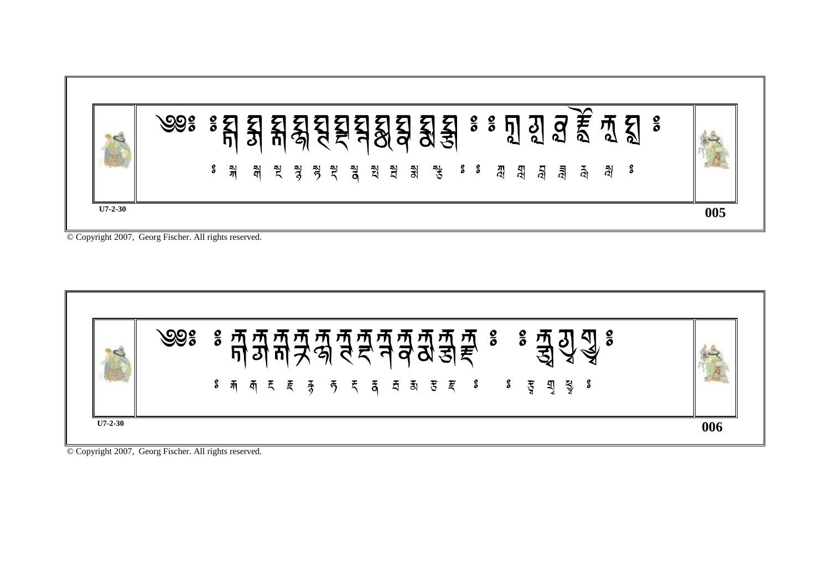

| h că | <sup>३</sup> ज ज ज ज ज ज ज ज ज ज ३ ० इ. न दुः<br>। ग ग ग <del>7</del> श र द न व ठा डा <del>ह</del><br>$\frac{8}{5}$ |  |
|------|---------------------------------------------------------------------------------------------------------------------|--|
|      | $\mathbb{R}$ निर्मा हुन्दु हुन्द है। इन्हुन्दु है। इन्हुन्दु है                                                     |  |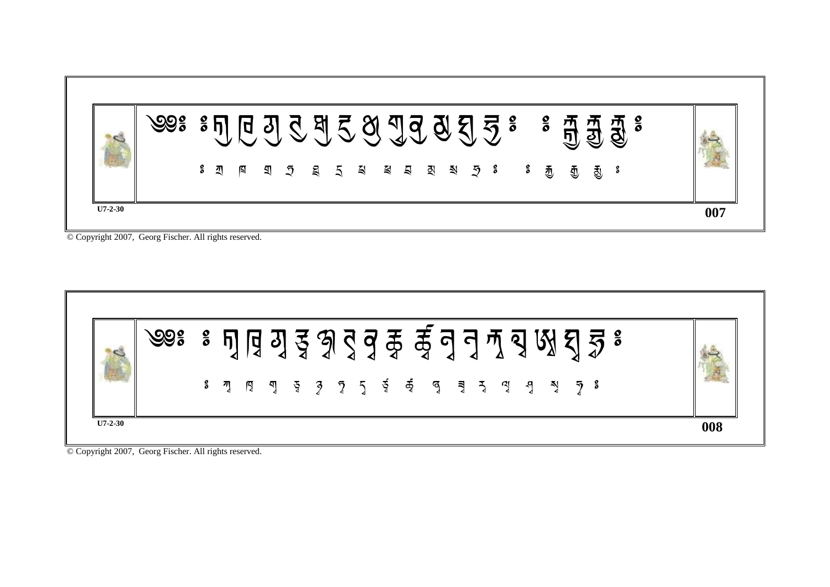